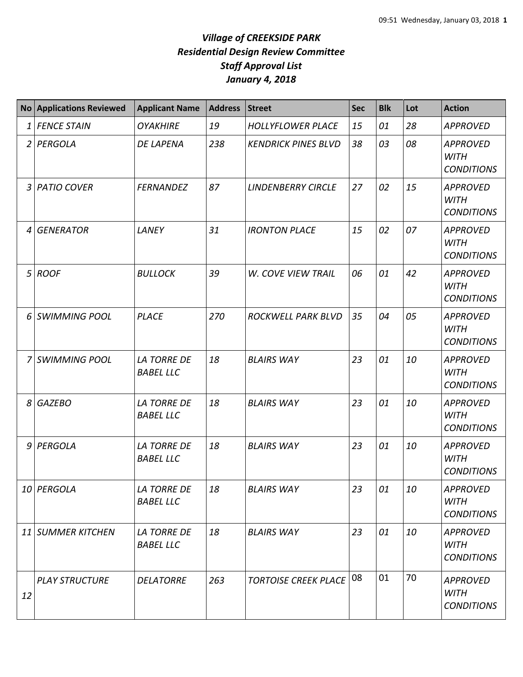## *Village of CREEKSIDE PARK Residential Design Review Committee Staff Approval List January 4, 2018*

|                | <b>No Applications Reviewed</b> | <b>Applicant Name</b>                  | <b>Address</b> | <b>Street</b>               | <b>Sec</b> | <b>Blk</b> | Lot | <b>Action</b>                                       |
|----------------|---------------------------------|----------------------------------------|----------------|-----------------------------|------------|------------|-----|-----------------------------------------------------|
| 1              | <b>FENCE STAIN</b>              | <b>OYAKHIRE</b>                        | 19             | <b>HOLLYFLOWER PLACE</b>    | 15         | 01         | 28  | <b>APPROVED</b>                                     |
| $\overline{2}$ | PERGOLA                         | <b>DE LAPENA</b>                       | 238            | <b>KENDRICK PINES BLVD</b>  | 38         | 03         | 08  | <b>APPROVED</b><br><b>WITH</b><br><b>CONDITIONS</b> |
| 3              | <b>PATIO COVER</b>              | <b>FERNANDEZ</b>                       | 87             | <b>LINDENBERRY CIRCLE</b>   | 27         | 02         | 15  | <b>APPROVED</b><br><b>WITH</b><br><b>CONDITIONS</b> |
| 4              | <b>GENERATOR</b>                | LANEY                                  | 31             | <b>IRONTON PLACE</b>        | 15         | 02         | 07  | <b>APPROVED</b><br><b>WITH</b><br><b>CONDITIONS</b> |
| 5 <sup>1</sup> | <b>ROOF</b>                     | <b>BULLOCK</b>                         | 39             | <b>W. COVE VIEW TRAIL</b>   | 06         | 01         | 42  | <b>APPROVED</b><br><b>WITH</b><br><b>CONDITIONS</b> |
| 6              | <b>SWIMMING POOL</b>            | <b>PLACE</b>                           | 270            | ROCKWELL PARK BLVD          | 35         | 04         | 05  | <b>APPROVED</b><br><b>WITH</b><br><b>CONDITIONS</b> |
| 7              | <b>SWIMMING POOL</b>            | <b>LA TORRE DE</b><br><b>BABEL LLC</b> | 18             | <b>BLAIRS WAY</b>           | 23         | 01         | 10  | <b>APPROVED</b><br><b>WITH</b><br><b>CONDITIONS</b> |
| 8              | <b>GAZEBO</b>                   | <b>LA TORRE DE</b><br><b>BABEL LLC</b> | 18             | <b>BLAIRS WAY</b>           | 23         | 01         | 10  | <b>APPROVED</b><br><b>WITH</b><br><b>CONDITIONS</b> |
| 9              | PERGOLA                         | <b>LA TORRE DE</b><br><b>BABEL LLC</b> | 18             | <b>BLAIRS WAY</b>           | 23         | 01         | 10  | <b>APPROVED</b><br><b>WITH</b><br><b>CONDITIONS</b> |
|                | 10 PERGOLA                      | <b>LA TORRE DE</b><br><b>BABEL LLC</b> | 18             | <b>BLAIRS WAY</b>           | 23         | 01         | 10  | <b>APPROVED</b><br><b>WITH</b><br><b>CONDITIONS</b> |
|                | 11 SUMMER KITCHEN               | <b>LA TORRE DE</b><br><b>BABEL LLC</b> | 18             | <b>BLAIRS WAY</b>           | 23         | 01         | 10  | <b>APPROVED</b><br><b>WITH</b><br><b>CONDITIONS</b> |
| 12             | <b>PLAY STRUCTURE</b>           | <b>DELATORRE</b>                       | 263            | <b>TORTOISE CREEK PLACE</b> | 08         | 01         | 70  | <b>APPROVED</b><br><b>WITH</b><br><b>CONDITIONS</b> |